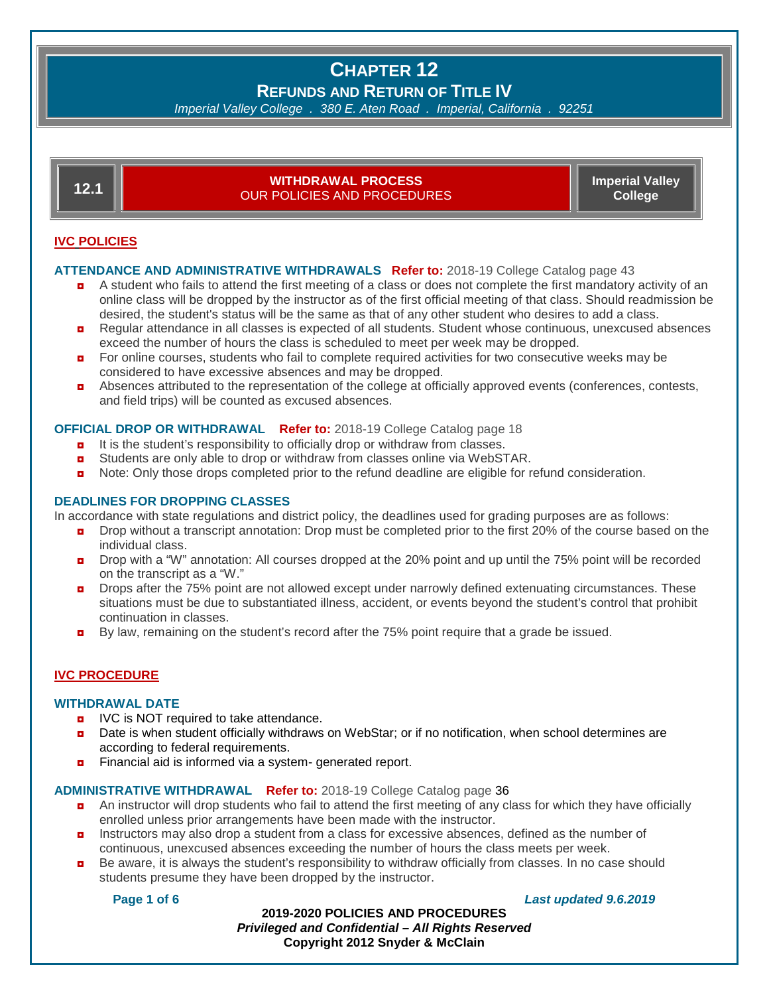## **CHAPTER 12 REFUNDS AND RETURN OF TITLE IV**

*Imperial Valley College . 380 E. Aten Road . Imperial, California . 92251*

| 12.1                | <b>WITHDRAWAL PROCESS</b><br>OUR POLICIES AND PROCEDURES. | <b>Imperial Valley</b><br>College |
|---------------------|-----------------------------------------------------------|-----------------------------------|
| <b>IVC POLICIES</b> |                                                           |                                   |

#### **ATTENDANCE AND ADMINISTRATIVE WITHDRAWALS Refer to:** 2018-19 College Catalog page 43

- ◘ A student who fails to attend the first meeting of a class or does not complete the first mandatory activity of an online class will be dropped by the instructor as of the first official meeting of that class. Should readmission be desired, the student's status will be the same as that of any other student who desires to add a class.
- ◘ Regular attendance in all classes is expected of all students. Student whose continuous, unexcused absences exceed the number of hours the class is scheduled to meet per week may be dropped.
- $\blacksquare$  For online courses, students who fail to complete required activities for two consecutive weeks may be considered to have excessive absences and may be dropped.
- ◘ Absences attributed to the representation of the college at officially approved events (conferences, contests, and field trips) will be counted as excused absences.

#### **OFFICIAL DROP OR WITHDRAWAL Refer to:** 2018-19 College Catalog page 18

- $\blacksquare$  It is the student's responsibility to officially drop or withdraw from classes.
- **D** Students are only able to drop or withdraw from classes online via WebSTAR.
- **D** Note: Only those drops completed prior to the refund deadline are eligible for refund consideration.

#### **DEADLINES FOR DROPPING CLASSES**

In accordance with state regulations and district policy, the deadlines used for grading purposes are as follows:

- **Drop without a transcript annotation:** Drop must be completed prior to the first 20% of the course based on the individual class.
- **Drop with a "W" annotation: All courses dropped at the 20% point and up until the 75% point will be recorded** on the transcript as a "W."
- **Drops after the 75% point are not allowed except under narrowly defined extenuating circumstances. These** situations must be due to substantiated illness, accident, or events beyond the student's control that prohibit continuation in classes.
- **D** By law, remaining on the student's record after the 75% point require that a grade be issued.

#### **IVC PROCEDURE**

#### **WITHDRAWAL DATE**

- **D** IVC is NOT required to take attendance.
- ◘ Date is when student officially withdraws on WebStar; or if no notification, when school determines are according to federal requirements.
- **<u>n</u>** Financial aid is informed via a system- generated report.

#### **ADMINISTRATIVE WITHDRAWAL Refer to:** 2018-19 College Catalog page 36

- a An instructor will drop students who fail to attend the first meeting of any class for which they have officially enrolled unless prior arrangements have been made with the instructor.
- **n** Instructors may also drop a student from a class for excessive absences, defined as the number of continuous, unexcused absences exceeding the number of hours the class meets per week.
- **Be aware, it is always the student's responsibility to withdraw officially from classes. In no case should** students presume they have been dropped by the instructor.

#### **Page 1 of 6** *Last updated 9.6.2019*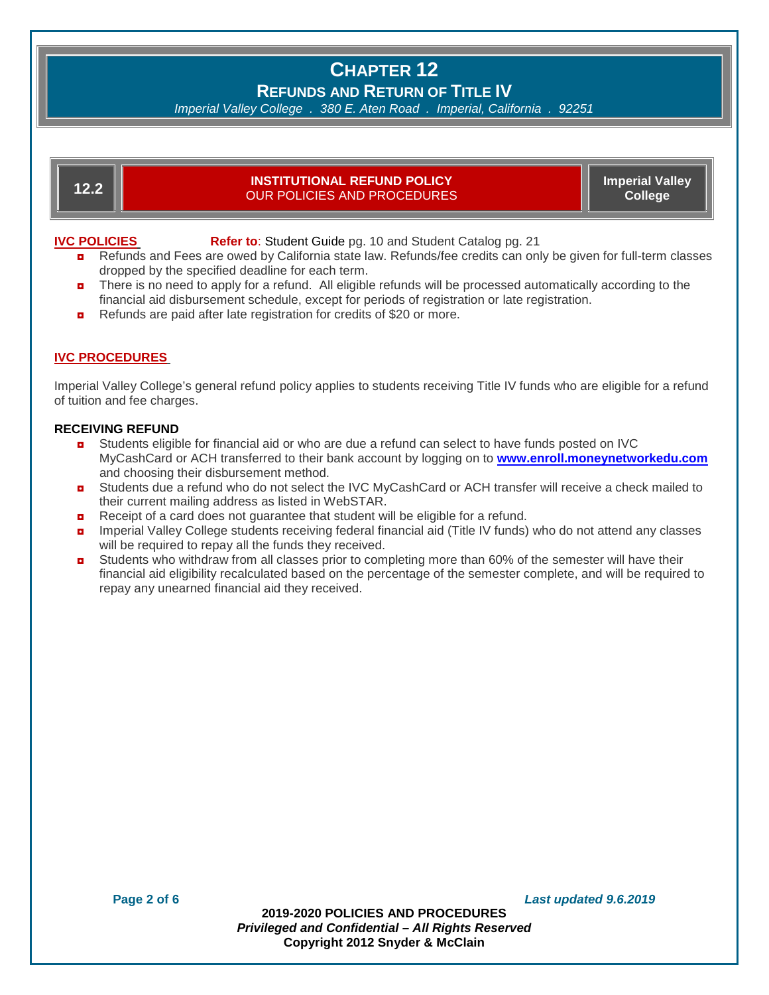# **CHAPTER 12 REFUNDS AND RETURN OF TITLE IV**

*Imperial Valley College . 380 E. Aten Road . Imperial, California . 92251*

#### **12.2 INSTITUTIONAL REFUND POLICY** OUR POLICIES AND PROCEDURES

**Imperial Valley College**

**IVC POLICIES Refer to:** Student Guide pg. 10 and Student Catalog pg. 21

- **n** Refunds and Fees are owed by California state law. Refunds/fee credits can only be given for full-term classes dropped by the specified deadline for each term.
- **n** There is no need to apply for a refund. All eligible refunds will be processed automatically according to the financial aid disbursement schedule, except for periods of registration or late registration.
- Refunds are paid after late registration for credits of \$20 or more.

### **IVC PROCEDURES**

Imperial Valley College's general refund policy applies to students receiving Title IV funds who are eligible for a refund of tuition and fee charges.

#### **RECEIVING REFUND**

- **D** Students eligible for financial aid or who are due a refund can select to have funds posted on IVC MyCashCard or ACH transferred to their bank account by logging on to **[www.enroll.moneynetworkedu.com](http://www.enroll.moneynetworkedu.com/)** and choosing their disbursement method.
- **D** Students due a refund who do not select the IVC MyCashCard or ACH transfer will receive a check mailed to their current mailing address as listed in WebSTAR.
- Receipt of a card does not guarantee that student will be eligible for a refund.
- **n** Imperial Valley College students receiving federal financial aid (Title IV funds) who do not attend any classes will be required to repay all the funds they received.
- Students who withdraw from all classes prior to completing more than 60% of the semester will have their financial aid eligibility recalculated based on the percentage of the semester complete, and will be required to repay any unearned financial aid they received.

**Page 2 of 6** *Last updated 9.6.2019*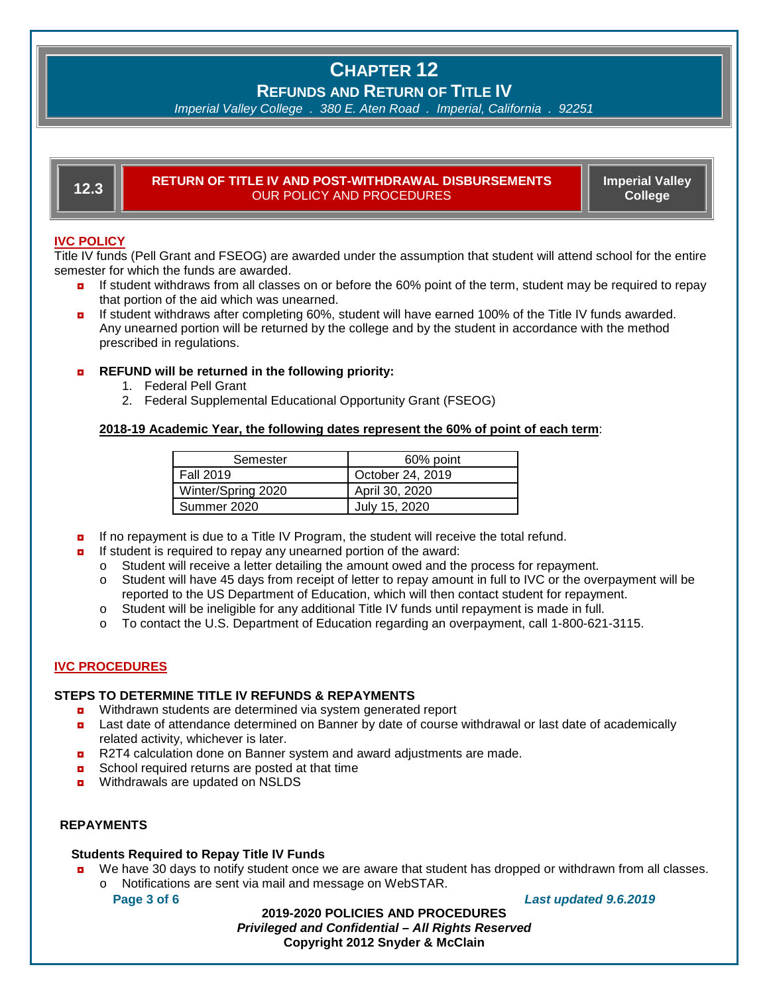# **CHAPTER 12**

**REFUNDS AND RETURN OF TITLE IV**

*Imperial Valley College . 380 E. Aten Road . Imperial, California . 92251*

#### **12.3 RETURN OF TITLE IV AND POST-WITHDRAWAL DISBURSEMENTS** OUR POLICY AND PROCEDURES

**Imperial Valley College**

### **IVC POLICY**

Title IV funds (Pell Grant and FSEOG) are awarded under the assumption that student will attend school for the entire semester for which the funds are awarded.

- **n** If student withdraws from all classes on or before the 60% point of the term, student may be required to repay that portion of the aid which was unearned.
- **n** If student withdraws after completing 60%, student will have earned 100% of the Title IV funds awarded. Any unearned portion will be returned by the college and by the student in accordance with the method prescribed in regulations.

#### ◘ **REFUND will be returned in the following priority:**

- 1. Federal Pell Grant
- 2. Federal Supplemental Educational Opportunity Grant (FSEOG)

#### **2018-19 Academic Year, the following dates represent the 60% of point of each term**:

| Semester           | 60% point        |  |
|--------------------|------------------|--|
| l Fall 2019        | October 24, 2019 |  |
| Winter/Spring 2020 | April 30, 2020   |  |
| Summer 2020        | July 15, 2020    |  |

- $\blacksquare$  If no repayment is due to a Title IV Program, the student will receive the total refund.
- ◘ If student is required to repay any unearned portion of the award:
	- $\circ$  Student will receive a letter detailing the amount owed and the process for repayment.<br>  $\circ$  Student will have 45 days from receipt of letter to repay amount in full to IVC or the ove
	- Student will have 45 days from receipt of letter to repay amount in full to IVC or the overpayment will be reported to the US Department of Education, which will then contact student for repayment.
	- o Student will be ineligible for any additional Title IV funds until repayment is made in full.
	- o To contact the U.S. Department of Education regarding an overpayment, call 1-800-621-3115.

#### **IVC PROCEDURES**

#### **STEPS TO DETERMINE TITLE IV REFUNDS & REPAYMENTS**

- ◘ Withdrawn students are determined via system generated report
- **D** Last date of attendance determined on Banner by date of course withdrawal or last date of academically related activity, whichever is later.
- ◘ R2T4 calculation done on Banner system and award adjustments are made.
- **D** School required returns are posted at that time
- **D** Withdrawals are updated on NSLDS

#### **REPAYMENTS**

#### **Students Required to Repay Title IV Funds**

**D** We have 30 days to notify student once we are aware that student has dropped or withdrawn from all classes. o Notifications are sent via mail and message on WebSTAR.

#### **Page 3 of 6** *Last updated 9.6.2019*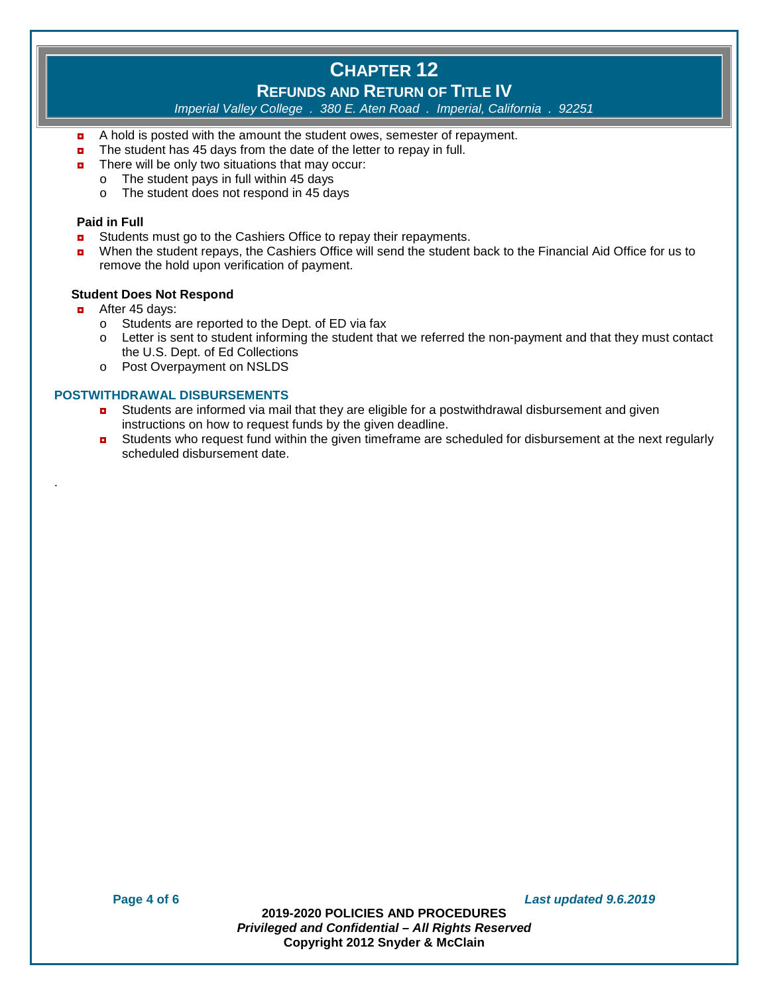# **CHAPTER 12**

## **REFUNDS AND RETURN OF TITLE IV**

*Imperial Valley College . 380 E. Aten Road . Imperial, California . 92251*

- ◘ A hold is posted with the amount the student owes, semester of repayment.
- The student has 45 days from the date of the letter to repay in full.
- $\blacksquare$  There will be only two situations that may occur:
	- $\circ$  The student pays in full within 45 days  $\circ$  The student does not respond in 45 da
		- The student does not respond in 45 days

#### **Paid in Full**

- **<u>n</u>** Students must go to the Cashiers Office to repay their repayments.
- ◘ When the student repays, the Cashiers Office will send the student back to the Financial Aid Office for us to remove the hold upon verification of payment.

#### **Student Does Not Respond**

 $\blacksquare$  After 45 days:

.

- o Students are reported to the Dept. of ED via fax
- o Letter is sent to student informing the student that we referred the non-payment and that they must contact the U.S. Dept. of Ed Collections
- o Post Overpayment on NSLDS

#### **POSTWITHDRAWAL DISBURSEMENTS**

- **D** Students are informed via mail that they are eligible for a postwithdrawal disbursement and given instructions on how to request funds by the given deadline.
- **D** Students who request fund within the given timeframe are scheduled for disbursement at the next regularly scheduled disbursement date.

**Page 4 of 6** *Last updated 9.6.2019*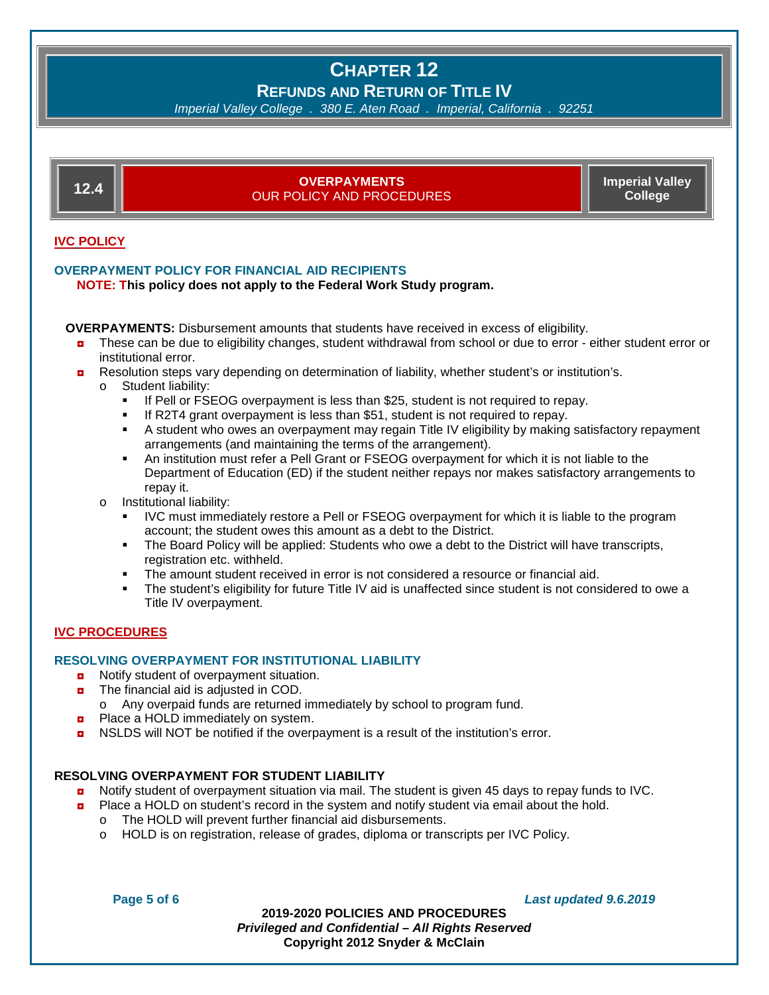## **CHAPTER 12 REFUNDS AND RETURN OF TITLE IV**

*Imperial Valley College . 380 E. Aten Road . Imperial, California . 92251*



**D** NSLDS will NOT be notified if the overpayment is a result of the institution's error.

#### **RESOLVING OVERPAYMENT FOR STUDENT LIABILITY**

- **D** Notify student of overpayment situation via mail. The student is given 45 days to repay funds to IVC.
- **D** Place a HOLD on student's record in the system and notify student via email about the hold.
	- o The HOLD will prevent further financial aid disbursements.<br>
	o HOLD is on registration, release of grades, diploma or trange
	- HOLD is on registration, release of grades, diploma or transcripts per IVC Policy.

**Page 5 of 6** *Last updated 9.6.2019*